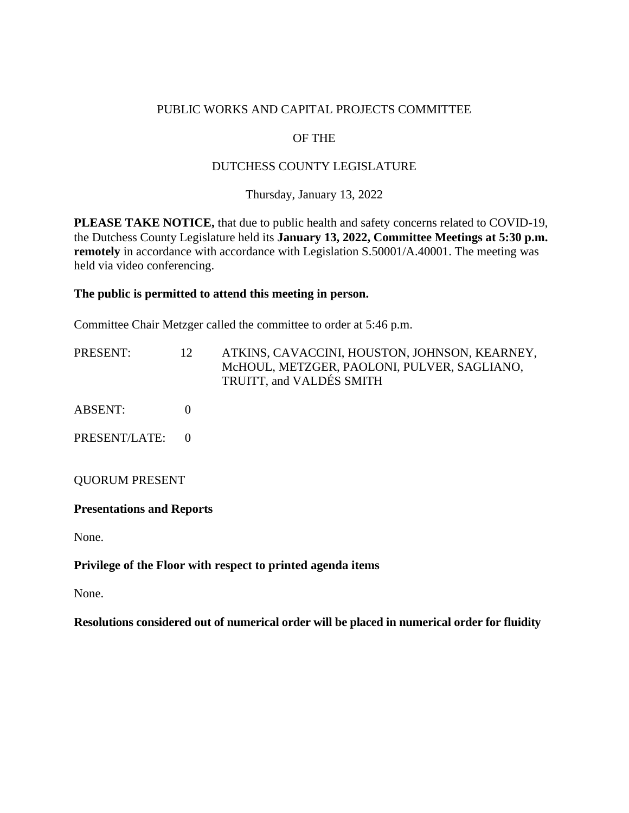### PUBLIC WORKS AND CAPITAL PROJECTS COMMITTEE

# OF THE

### DUTCHESS COUNTY LEGISLATURE

Thursday, January 13, 2022

**PLEASE TAKE NOTICE,** that due to public health and safety concerns related to COVID-19, the Dutchess County Legislature held its **January 13, 2022, Committee Meetings at 5:30 p.m. remotely** in accordance with accordance with Legislation S.50001/A.40001. The meeting was held via video conferencing.

#### **The public is permitted to attend this meeting in person.**

Committee Chair Metzger called the committee to order at 5:46 p.m.

| PRESENT:                         | 12       | ATKINS, CAVACCINI, HOUSTON, JOHNSON, KEARNEY,<br>McHOUL, METZGER, PAOLONI, PULVER, SAGLIANO,<br>TRUITT, and VALDÉS SMITH |
|----------------------------------|----------|--------------------------------------------------------------------------------------------------------------------------|
| ABSENT:                          | $\theta$ |                                                                                                                          |
| PRESENT/LATE:                    | $\Omega$ |                                                                                                                          |
| <b>QUORUM PRESENT</b>            |          |                                                                                                                          |
| <b>Presentations and Reports</b> |          |                                                                                                                          |

None.

#### **Privilege of the Floor with respect to printed agenda items**

None.

**Resolutions considered out of numerical order will be placed in numerical order for fluidity**